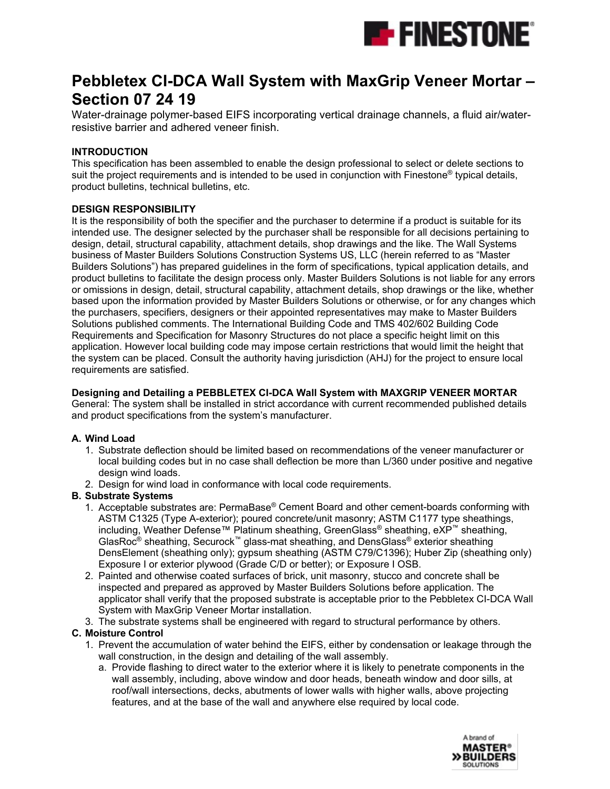

# **Pebbletex CI-DCA Wall System with MaxGrip Veneer Mortar – Section 07 24 19**

Water-drainage polymer-based EIFS incorporating vertical drainage channels, a fluid air/waterresistive barrier and adhered veneer finish.

#### **INTRODUCTION**

This specification has been assembled to enable the design professional to select or delete sections to suit the project requirements and is intended to be used in conjunction with Finestone<sup>®</sup> typical details, product bulletins, technical bulletins, etc.

#### **DESIGN RESPONSIBILITY**

It is the responsibility of both the specifier and the purchaser to determine if a product is suitable for its intended use. The designer selected by the purchaser shall be responsible for all decisions pertaining to design, detail, structural capability, attachment details, shop drawings and the like. The Wall Systems business of Master Builders Solutions Construction Systems US, LLC (herein referred to as "Master Builders Solutions") has prepared guidelines in the form of specifications, typical application details, and product bulletins to facilitate the design process only. Master Builders Solutions is not liable for any errors or omissions in design, detail, structural capability, attachment details, shop drawings or the like, whether based upon the information provided by Master Builders Solutions or otherwise, or for any changes which the purchasers, specifiers, designers or their appointed representatives may make to Master Builders Solutions published comments. The International Building Code and TMS 402/602 Building Code Requirements and Specification for Masonry Structures do not place a specific height limit on this application. However local building code may impose certain restrictions that would limit the height that the system can be placed. Consult the authority having jurisdiction (AHJ) for the project to ensure local requirements are satisfied.

#### **Designing and Detailing a PEBBLETEX CI-DCA Wall System with MAXGRIP VENEER MORTAR**

General: The system shall be installed in strict accordance with current recommended published details and product specifications from the system's manufacturer.

#### **A. Wind Load**

- 1. Substrate deflection should be limited based on recommendations of the veneer manufacturer or local building codes but in no case shall deflection be more than L/360 under positive and negative design wind loads.
- 2. Design for wind load in conformance with local code requirements.

#### **B. Substrate Systems**

- 1. Acceptable substrates are: PermaBase® Cement Board and other cement-boards conforming with ASTM C1325 (Type A-exterior); poured concrete/unit masonry; ASTM C1177 type sheathings, including, Weather Defense™ Platinum sheathing, GreenGlass® sheathing, eXP™ sheathing, GlasRoc® sheathing, Securock™ glass-mat sheathing, and DensGlass® exterior sheathing DensElement (sheathing only); gypsum sheathing (ASTM C79/C1396); Huber Zip (sheathing only) Exposure I or exterior plywood (Grade C/D or better); or Exposure I OSB.
- 2. Painted and otherwise coated surfaces of brick, unit masonry, stucco and concrete shall be inspected and prepared as approved by Master Builders Solutions before application. The applicator shall verify that the proposed substrate is acceptable prior to the Pebbletex CI-DCA Wall System with MaxGrip Veneer Mortar installation.
- 3. The substrate systems shall be engineered with regard to structural performance by others.

#### **C. Moisture Control**

- 1. Prevent the accumulation of water behind the EIFS, either by condensation or leakage through the wall construction, in the design and detailing of the wall assembly.
	- a. Provide flashing to direct water to the exterior where it is likely to penetrate components in the wall assembly, including, above window and door heads, beneath window and door sills, at roof/wall intersections, decks, abutments of lower walls with higher walls, above projecting features, and at the base of the wall and anywhere else required by local code.

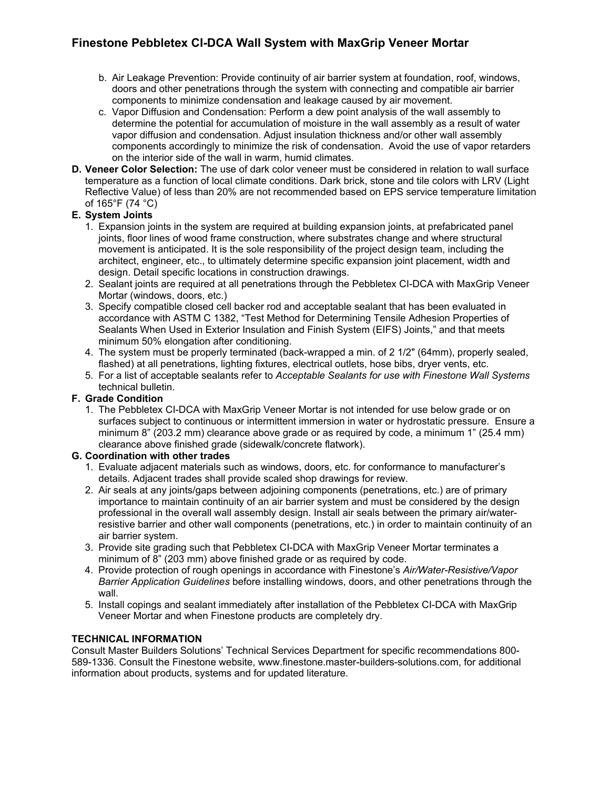- b. Air Leakage Prevention: Provide continuity of air barrier system at foundation, roof, windows, doors and other penetrations through the system with connecting and compatible air barrier components to minimize condensation and leakage caused by air movement.
- c. Vapor Diffusion and Condensation: Perform a dew point analysis of the wall assembly to determine the potential for accumulation of moisture in the wall assembly as a result of water vapor diffusion and condensation. Adjust insulation thickness and/or other wall assembly components accordingly to minimize the risk of condensation. Avoid the use of vapor retarders on the interior side of the wall in warm, humid climates.
- **D. Veneer Color Selection:** The use of dark color veneer must be considered in relation to wall surface temperature as a function of local climate conditions. Dark brick, stone and tile colors with LRV (Light Reflective Value) of less than 20% are not recommended based on EPS service temperature limitation of 165°F (74 °C)

#### **E. System Joints**

- 1. Expansion joints in the system are required at building expansion joints, at prefabricated panel joints, floor lines of wood frame construction, where substrates change and where structural movement is anticipated. It is the sole responsibility of the project design team, including the architect, engineer, etc., to ultimately determine specific expansion joint placement, width and design. Detail specific locations in construction drawings.
- 2. Sealant joints are required at all penetrations through the Pebbletex CI-DCA with MaxGrip Veneer Mortar (windows, doors, etc.)
- 3. Specify compatible closed cell backer rod and acceptable sealant that has been evaluated in accordance with ASTM C 1382, "Test Method for Determining Tensile Adhesion Properties of Sealants When Used in Exterior Insulation and Finish System (EIFS) Joints," and that meets minimum 50% elongation after conditioning.
- 4. The system must be properly terminated (back-wrapped a min. of 2 1/2" (64mm), properly sealed, flashed) at all penetrations, lighting fixtures, electrical outlets, hose bibs, dryer vents, etc.
- 5. For a list of acceptable sealants refer to *Acceptable Sealants for use with Finestone Wall Systems* technical bulletin.

#### **F. Grade Condition**

1. The Pebbletex CI-DCA with MaxGrip Veneer Mortar is not intended for use below grade or on surfaces subject to continuous or intermittent immersion in water or hydrostatic pressure. Ensure a minimum 8" (203.2 mm) clearance above grade or as required by code, a minimum 1" (25.4 mm) clearance above finished grade (sidewalk/concrete flatwork).

#### **G. Coordination with other trades**

- 1. Evaluate adjacent materials such as windows, doors, etc. for conformance to manufacturer's details. Adjacent trades shall provide scaled shop drawings for review.
- 2. Air seals at any joints/gaps between adjoining components (penetrations, etc.) are of primary importance to maintain continuity of an air barrier system and must be considered by the design professional in the overall wall assembly design. Install air seals between the primary air/waterresistive barrier and other wall components (penetrations, etc.) in order to maintain continuity of an air barrier system.
- 3. Provide site grading such that Pebbletex CI-DCA with MaxGrip Veneer Mortar terminates a minimum of 8" (203 mm) above finished grade or as required by code.
- 4. Provide protection of rough openings in accordance with Finestone's *Air/Water-Resistive/Vapor Barrier Application Guidelines* before installing windows, doors, and other penetrations through the wall.
- 5. Install copings and sealant immediately after installation of the Pebbletex CI-DCA with MaxGrip Veneer Mortar and when Finestone products are completely dry.

#### **TECHNICAL INFORMATION**

Consult Master Builders Solutions' Technical Services Department for specific recommendations 800- 589-1336. Consult the Finestone website, www.finestone.master-builders-solutions.com, for additional information about products, systems and for updated literature.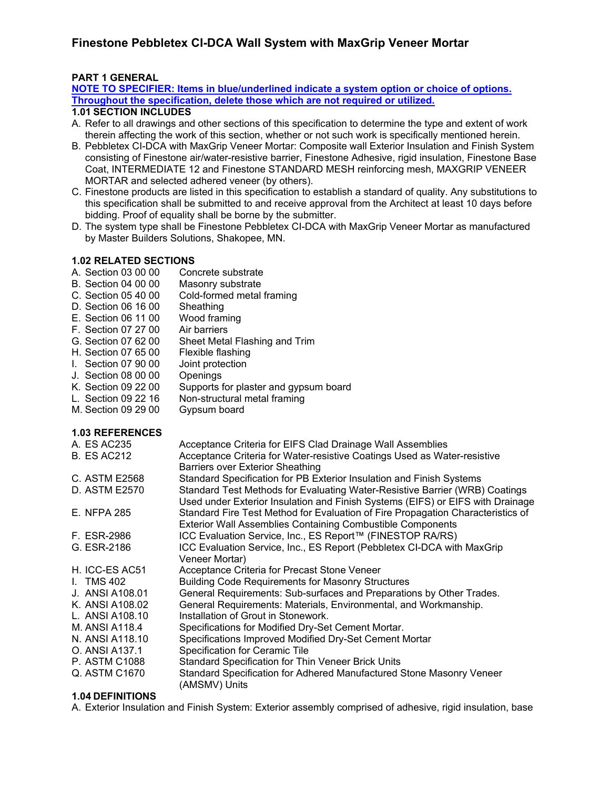#### **PART 1 GENERAL**

**NOTE TO SPECIFIER: Items in blue/underlined indicate a system option or choice of options. Throughout the specification, delete those which are not required or utilized.**

#### **1.01 SECTION INCLUDES**

- A. Refer to all drawings and other sections of this specification to determine the type and extent of work therein affecting the work of this section, whether or not such work is specifically mentioned herein.
- B. Pebbletex CI-DCA with MaxGrip Veneer Mortar: Composite wall Exterior Insulation and Finish System consisting of Finestone air/water-resistive barrier, Finestone Adhesive, rigid insulation, Finestone Base Coat, INTERMEDIATE 12 and Finestone STANDARD MESH reinforcing mesh, MAXGRIP VENEER MORTAR and selected adhered veneer (by others).
- C. Finestone products are listed in this specification to establish a standard of quality. Any substitutions to this specification shall be submitted to and receive approval from the Architect at least 10 days before bidding. Proof of equality shall be borne by the submitter.
- D. The system type shall be Finestone Pebbletex CI-DCA with MaxGrip Veneer Mortar as manufactured by Master Builders Solutions, Shakopee, MN.

# **1.02 RELATED SECTIONS**

- Concrete substrate
- 
- B. Section 04 00 00 Masonry substrate<br>C. Section 05 40 00 Cold-formed metal Cold-formed metal framing<br>Sheathing
- 
- D. Section 06 16 00 Sheathing<br>E. Section 06 11 00 Wood framing E. Section 06 11 00
- 
- F. Section 07 27 00 Air barriers<br>G. Section 07 62 00 Sheet Meta Sheet Metal Flashing and Trim
- H. Section 07 65 00 Flexible flashing
- I. Section 07 90 00 Joint protection
- J. Section 08 00 00 Openings
- K. Section 09 22 00 Supports for plaster and gypsum board
- L. Section 09 22 16 Non-structural metal framing<br>M. Section 09 29 00 Gypsum board
- M. Section 09 29 00

#### **1.03 REFERENCES**

| A. ES AC235        | Acceptance Criteria for EIFS Clad Drainage Wall Assemblies                      |
|--------------------|---------------------------------------------------------------------------------|
| <b>B. ES AC212</b> | Acceptance Criteria for Water-resistive Coatings Used as Water-resistive        |
|                    | <b>Barriers over Exterior Sheathing</b>                                         |
| C. ASTM E2568      | Standard Specification for PB Exterior Insulation and Finish Systems            |
| D. ASTM E2570      | Standard Test Methods for Evaluating Water-Resistive Barrier (WRB) Coatings     |
|                    | Used under Exterior Insulation and Finish Systems (EIFS) or EIFS with Drainage  |
| <b>E. NFPA 285</b> | Standard Fire Test Method for Evaluation of Fire Propagation Characteristics of |
|                    | <b>Exterior Wall Assemblies Containing Combustible Components</b>               |
| F. ESR-2986        | ICC Evaluation Service, Inc., ES Report™ (FINESTOP RA/RS)                       |
| G. ESR-2186        | ICC Evaluation Service, Inc., ES Report (Pebbletex CI-DCA with MaxGrip          |
|                    | Veneer Mortar)                                                                  |
| H. ICC-ES AC51     | Acceptance Criteria for Precast Stone Veneer                                    |
| I. TMS 402         | <b>Building Code Requirements for Masonry Structures</b>                        |
| J. ANSI A108.01    | General Requirements: Sub-surfaces and Preparations by Other Trades.            |
| K. ANSI A108.02    | General Requirements: Materials, Environmental, and Workmanship.                |
| L. ANSI A108.10    | Installation of Grout in Stonework.                                             |
| M. ANSI A118.4     | Specifications for Modified Dry-Set Cement Mortar.                              |
| N. ANSI A118.10    | Specifications Improved Modified Dry-Set Cement Mortar                          |
| O. ANSI A137.1     | Specification for Ceramic Tile                                                  |
| P. ASTM C1088      | Standard Specification for Thin Veneer Brick Units                              |
| Q. ASTM C1670      | Standard Specification for Adhered Manufactured Stone Masonry Veneer            |
|                    | (AMSMV) Units                                                                   |
|                    |                                                                                 |

#### **1.04 DEFINITIONS**

A. Exterior Insulation and Finish System: Exterior assembly comprised of adhesive, rigid insulation, base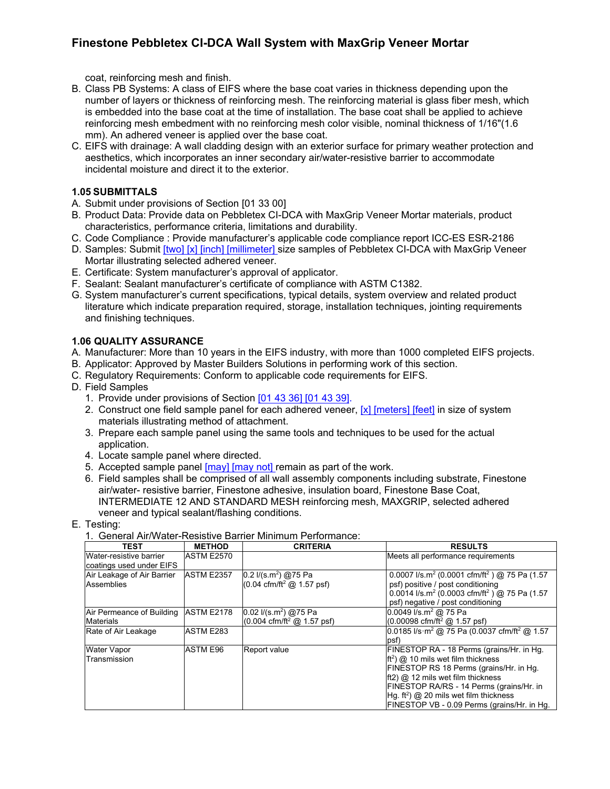coat, reinforcing mesh and finish.

- B. Class PB Systems: A class of EIFS where the base coat varies in thickness depending upon the number of layers or thickness of reinforcing mesh. The reinforcing material is glass fiber mesh, which is embedded into the base coat at the time of installation. The base coat shall be applied to achieve reinforcing mesh embedment with no reinforcing mesh color visible, nominal thickness of 1/16"(1.6 mm). An adhered veneer is applied over the base coat.
- C. EIFS with drainage: A wall cladding design with an exterior surface for primary weather protection and aesthetics, which incorporates an inner secondary air/water-resistive barrier to accommodate incidental moisture and direct it to the exterior.

#### **1.05 SUBMITTALS**

- A. Submit under provisions of Section [01 33 00]
- B. Product Data: Provide data on Pebbletex CI-DCA with MaxGrip Veneer Mortar materials, product characteristics, performance criteria, limitations and durability.
- C. Code Compliance : Provide manufacturer's applicable code compliance report ICC-ES ESR-2186
- D. Samples: Submit [two] [x] [inch] [millimeter] size samples of Pebbletex CI-DCA with MaxGrip Veneer Mortar illustrating selected adhered veneer.
- E. Certificate: System manufacturer's approval of applicator.
- F. Sealant: Sealant manufacturer's certificate of compliance with ASTM C1382.
- G. System manufacturer's current specifications, typical details, system overview and related product literature which indicate preparation required, storage, installation techniques, jointing requirements and finishing techniques.

#### **1.06 QUALITY ASSURANCE**

- A. Manufacturer: More than 10 years in the EIFS industry, with more than 1000 completed EIFS projects.
- B. Applicator: Approved by Master Builders Solutions in performing work of this section.
- C. Regulatory Requirements: Conform to applicable code requirements for EIFS.
- D. Field Samples
	- 1. Provide under provisions of Section [01 43 36] [01 43 39].
	- 2. Construct one field sample panel for each adhered veneer,  $[x]$  [meters] [feet] in size of system materials illustrating method of attachment.
	- 3. Prepare each sample panel using the same tools and techniques to be used for the actual application.
	- 4. Locate sample panel where directed.
	- 5. Accepted sample panel [may] [may not] remain as part of the work.
	- 6. Field samples shall be comprised of all wall assembly components including substrate, Finestone air/water- resistive barrier, Finestone adhesive, insulation board, Finestone Base Coat, INTERMEDIATE 12 AND STANDARD MESH reinforcing mesh, MAXGRIP, selected adhered veneer and typical sealant/flashing conditions.
- E. Testing:

| <b>TEST</b>                                         | <b>METHOD</b>     | <b>CRITERIA</b>                                                               | <b>RESULTS</b>                                                                                                                                                                                                                                                                                                     |
|-----------------------------------------------------|-------------------|-------------------------------------------------------------------------------|--------------------------------------------------------------------------------------------------------------------------------------------------------------------------------------------------------------------------------------------------------------------------------------------------------------------|
| Water-resistive barrier<br>coatings used under EIFS | <b>ASTM E2570</b> |                                                                               | Meets all performance requirements                                                                                                                                                                                                                                                                                 |
| Air Leakage of Air Barrier<br>Assemblies            | <b>ASTM E2357</b> | 0.2 $I/(s.m^2)$ @75 Pa<br>(0.04 cfm/ft <sup>2</sup> @ 1.57 psf)               | 0.0007 l/s.m <sup>2</sup> (0.0001 cfm/ft <sup>2</sup> ) @ 75 Pa (1.57<br>psf) positive / post conditioning<br>0.0014 l/s.m <sup>2</sup> (0.0003 cfm/ft <sup>2</sup> ) @ 75 Pa (1.57<br>psf) negative / post conditioning                                                                                           |
| Air Permeance of Building<br><b>Materials</b>       | <b>ASTM E2178</b> | $0.02$ I/(s.m <sup>2</sup> ) @75 Pa<br>(0.004 cfm/ft <sup>2</sup> @ 1.57 psf) | 0.0049 l/s.m <sup>2</sup> @ 75 Pa<br>$(0.00098 \text{ cfm/ft}^2 \text{ @ } 1.57 \text{ psf})$                                                                                                                                                                                                                      |
| Rate of Air Leakage                                 | ASTM E283         |                                                                               | 0.0185 l/s·m <sup>2</sup> @ 75 Pa (0.0037 cfm/ft <sup>2</sup> @ 1.57<br>(psf                                                                                                                                                                                                                                       |
| Water Vapor<br>Transmission                         | <b>ASTM E96</b>   | Report value                                                                  | FINESTOP RA - 18 Perms (grains/Hr. in Hg.<br>$ft2$ ( $\omega$ 10 mils wet film thickness<br>FINESTOP RS 18 Perms (grains/Hr. in Hg.<br>$ft2)$ @ 12 mils wet film thickness<br>FINESTOP RA/RS - 14 Perms (grains/Hr. in<br>Hg. $ft^2$ ) @ 20 mils wet film thickness<br>FINESTOP VB - 0.09 Perms (grains/Hr. in Hg. |

1. General Air/Water-Resistive Barrier Minimum Performance: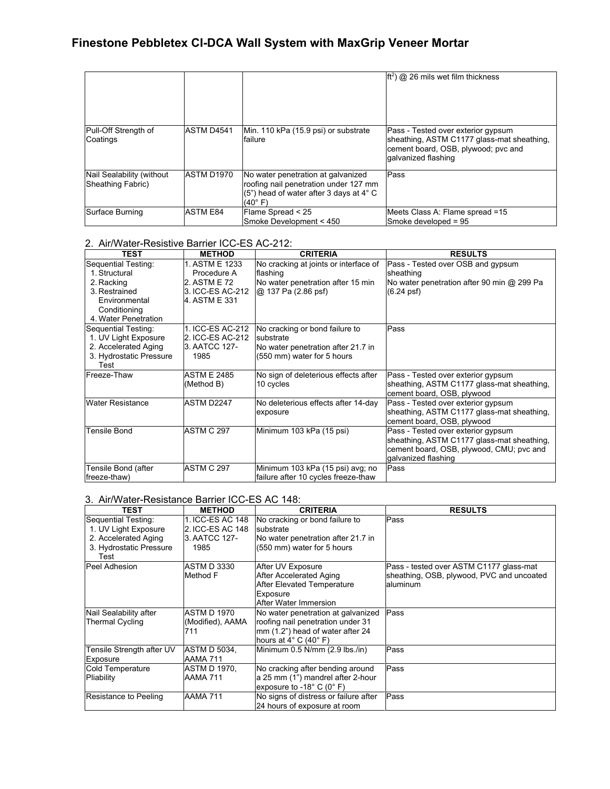|                                                |                 |                                                                                                                                              | $ft2$ @ 26 mils wet film thickness                                                                                                              |
|------------------------------------------------|-----------------|----------------------------------------------------------------------------------------------------------------------------------------------|-------------------------------------------------------------------------------------------------------------------------------------------------|
| Pull-Off Strength of<br>Coatings               | ASTM D4541      | Min. 110 kPa (15.9 psi) or substrate<br>failure                                                                                              | Pass - Tested over exterior gypsum<br>sheathing, ASTM C1177 glass-mat sheathing,<br>cement board, OSB, plywood; pvc and<br>lgalvanized flashing |
| Nail Sealability (without<br>Sheathing Fabric) | ASTM D1970      | No water penetration at galvanized<br>roofing nail penetration under 127 mm<br>$(5")$ head of water after 3 days at 4 $^{\circ}$ C<br>(40°F) | Pass                                                                                                                                            |
| Surface Burning                                | <b>ASTM E84</b> | Flame Spread < 25<br>Smoke Development < 450                                                                                                 | Meets Class A: Flame spread =15<br>Smoke developed = 95                                                                                         |

#### 2. Air/Water-Resistive Barrier ICC-ES AC-212:

| <b>TEST</b>                                                                                                                  | <b>METHOD</b>                                                                      | <b>CRITERIA</b>                                                                                                 | <b>RESULTS</b>                                                                                                                                      |
|------------------------------------------------------------------------------------------------------------------------------|------------------------------------------------------------------------------------|-----------------------------------------------------------------------------------------------------------------|-----------------------------------------------------------------------------------------------------------------------------------------------------|
| Sequential Testing:<br>1. Structural<br>2. Racking<br>3. Restrained<br>Environmental<br>Conditioning<br>4. Water Penetration | 1. ASTM E 1233<br>Procedure A<br>2. ASTM E 72<br>3. ICC-ES AC-212<br>4. ASTM E 331 | No cracking at joints or interface of<br>flashing<br>No water penetration after 15 min<br>@ 137 Pa (2.86 psf)   | Pass - Tested over OSB and gypsum<br>sheathing<br>No water penetration after 90 min @ 299 Pa<br>(6.24 psf)                                          |
| Sequential Testing:<br>1. UV Light Exposure<br>2. Accelerated Aging<br>3. Hydrostatic Pressure<br>Test                       | 1. ICC-ES AC-212<br>2. ICC-ES AC-212<br>3. AATCC 127-<br>1985                      | No cracking or bond failure to<br>substrate<br>No water penetration after 21.7 in<br>(550 mm) water for 5 hours | Pass                                                                                                                                                |
| Freeze-Thaw                                                                                                                  | <b>ASTM E 2485</b><br>(Method B)                                                   | No sign of deleterious effects after<br>10 cycles                                                               | Pass - Tested over exterior gypsum<br>sheathing, ASTM C1177 glass-mat sheathing,<br>cement board, OSB, plywood                                      |
| <b>Water Resistance</b>                                                                                                      | ASTM D2247                                                                         | No deleterious effects after 14-day<br>exposure                                                                 | Pass - Tested over exterior gypsum<br>sheathing, ASTM C1177 glass-mat sheathing,<br>cement board, OSB, plywood                                      |
| <b>Tensile Bond</b>                                                                                                          | <b>ASTM C 297</b>                                                                  | Minimum 103 kPa (15 psi)                                                                                        | Pass - Tested over exterior gypsum<br>sheathing, ASTM C1177 glass-mat sheathing,<br>cement board, OSB, plywood, CMU; pvc and<br>galvanized flashing |
| Tensile Bond (after<br>freeze-thaw)                                                                                          | ASTM C 297                                                                         | Minimum 103 kPa (15 psi) avg; no<br>failure after 10 cycles freeze-thaw                                         | Pass                                                                                                                                                |

#### 3. Air/Water-Resistance Barrier ICC-ES AC 148:

| TEST                                                                                                   | <b>METHOD</b>                                                 | <b>CRITERIA</b>                                                                                                                                         | <b>RESULTS</b>                                                                                   |
|--------------------------------------------------------------------------------------------------------|---------------------------------------------------------------|---------------------------------------------------------------------------------------------------------------------------------------------------------|--------------------------------------------------------------------------------------------------|
| Sequential Testing:<br>1. UV Light Exposure<br>2. Accelerated Aging<br>3. Hydrostatic Pressure<br>Test | 1. ICC-ES AC 148<br>2. ICC-ES AC 148<br>3. AATCC 127-<br>1985 | No cracking or bond failure to<br>substrate<br>No water penetration after 21.7 in<br>(550 mm) water for 5 hours                                         | Pass                                                                                             |
| Peel Adhesion                                                                                          | <b>ASTM D 3330</b><br>Method F                                | After UV Exposure<br>After Accelerated Aging<br><b>After Elevated Temperature</b><br>Exposure<br>After Water Immersion                                  | Pass - tested over ASTM C1177 glass-mat<br>sheathing, OSB, plywood, PVC and uncoated<br>aluminum |
| Nail Sealability after<br><b>Thermal Cycling</b>                                                       | <b>ASTM D 1970</b><br>(Modified), AAMA<br>711                 | No water penetration at galvanized<br>roofing nail penetration under 31<br>mm (1.2") head of water after 24<br>hours at $4^{\circ}$ C (40 $^{\circ}$ F) | Pass                                                                                             |
| Tensile Strength after UV<br>Exposure                                                                  | ASTM D 5034.<br><b>AAMA 711</b>                               | Minimum 0.5 N/mm (2.9 lbs /in)                                                                                                                          | Pass                                                                                             |
| <b>Cold Temperature</b><br>Pliability                                                                  | ASTM D 1970,<br>AAMA 711                                      | No cracking after bending around<br>a 25 mm (1") mandrel after 2-hour<br>exposure to -18 $^{\circ}$ C (0 $^{\circ}$ F)                                  | Pass                                                                                             |
| Resistance to Peeling                                                                                  | <b>AAMA 711</b>                                               | No signs of distress or failure after<br>24 hours of exposure at room                                                                                   | Pass                                                                                             |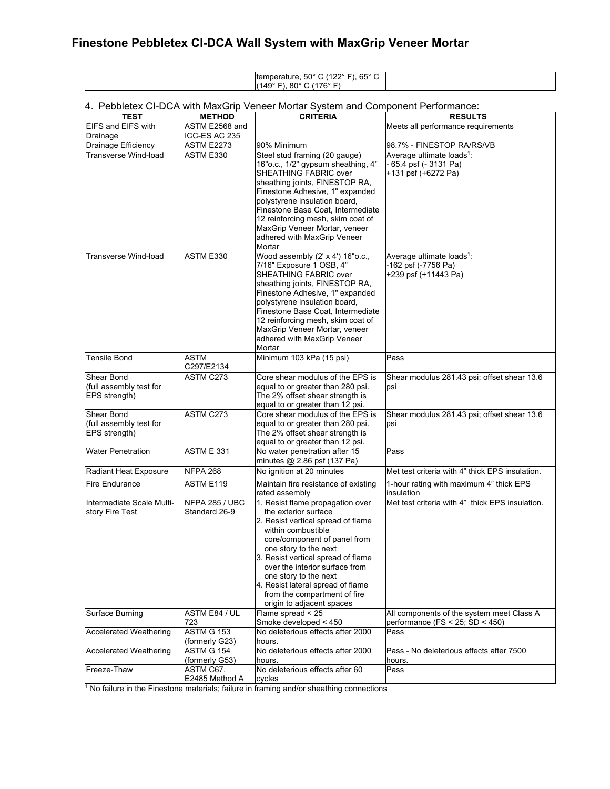| 65°<br>-<br>$50^\circ$<br>11000<br>Itemperature.<br>، ب<br>-<br>◡ |  |
|-------------------------------------------------------------------|--|
| $-700$<br>149<br>80<br>70                                         |  |

#### 4. Pebbletex CI-DCA with MaxGrip Veneer Mortar System and Component Performance:

| <b>TEST</b>                                            | <b>METHOD</b>                       | <b>CRITERIA</b>                                                                                                                                                                                                                                                                                                                                                                  | <b>RESULTS</b>                                                                       |
|--------------------------------------------------------|-------------------------------------|----------------------------------------------------------------------------------------------------------------------------------------------------------------------------------------------------------------------------------------------------------------------------------------------------------------------------------------------------------------------------------|--------------------------------------------------------------------------------------|
| <b>EIFS and EIFS with</b>                              | ASTM E2568 and                      |                                                                                                                                                                                                                                                                                                                                                                                  | Meets all performance requirements                                                   |
| Drainage                                               | ICC-ES AC 235                       |                                                                                                                                                                                                                                                                                                                                                                                  |                                                                                      |
| Drainage Efficiency                                    | <b>ASTM E2273</b>                   | 90% Minimum                                                                                                                                                                                                                                                                                                                                                                      | 98.7% - FINESTOP RA/RS/VB                                                            |
| <b>Transverse Wind-load</b>                            | ASTM E330                           | Steel stud framing (20 gauge)<br>16"o.c., 1/2" gypsum sheathing, 4"<br>SHEATHING FABRIC over<br>sheathing joints, FINESTOP RA,<br>Finestone Adhesive, 1" expanded<br>polystyrene insulation board,<br>Finestone Base Coat, Intermediate<br>12 reinforcing mesh, skim coat of<br>MaxGrip Veneer Mortar, veneer<br>adhered with MaxGrip Veneer<br>Mortar                           | Average ultimate loads <sup>1</sup> :<br>65.4 psf (- 3131 Pa)<br>+131 psf (+6272 Pa) |
| Transverse Wind-load                                   | ASTM E330                           | Wood assembly (2' x 4') 16"o.c.,<br>7/16" Exposure 1 OSB, 4"<br>SHEATHING FABRIC over<br>sheathing joints, FINESTOP RA,<br>Finestone Adhesive, 1" expanded<br>polystyrene insulation board,<br>Finestone Base Coat. Intermediate<br>12 reinforcing mesh, skim coat of<br>MaxGrip Veneer Mortar, veneer<br>adhered with MaxGrip Veneer<br>Mortar                                  | Average ultimate loads <sup>1</sup> :<br>-162 psf (-7756 Pa)<br>+239 psf (+11443 Pa) |
| <b>Tensile Bond</b>                                    | ASTM<br>C297/E2134                  | Minimum 103 kPa (15 psi)                                                                                                                                                                                                                                                                                                                                                         | Pass                                                                                 |
| Shear Bond<br>(full assembly test for<br>EPS strength) | ASTM C273                           | Core shear modulus of the EPS is<br>equal to or greater than 280 psi.<br>The 2% offset shear strength is<br>equal to or greater than 12 psi.                                                                                                                                                                                                                                     | Shear modulus 281.43 psi; offset shear 13.6<br>psi                                   |
| Shear Bond<br>(full assembly test for<br>EPS strength) | ASTM C273                           | Core shear modulus of the EPS is<br>equal to or greater than 280 psi.<br>The 2% offset shear strength is<br>equal to or greater than 12 psi.                                                                                                                                                                                                                                     | Shear modulus 281.43 psi; offset shear 13.6<br>psi                                   |
| <b>Water Penetration</b>                               | <b>ASTM E 331</b>                   | No water penetration after 15<br>minutes @ 2.86 psf (137 Pa)                                                                                                                                                                                                                                                                                                                     | Pass                                                                                 |
| Radiant Heat Exposure                                  | NFPA 268                            | No ignition at 20 minutes                                                                                                                                                                                                                                                                                                                                                        | Met test criteria with 4" thick EPS insulation.                                      |
| <b>Fire Endurance</b>                                  | ASTM E119                           | Maintain fire resistance of existing<br>rated assembly                                                                                                                                                                                                                                                                                                                           | 1-hour rating with maximum 4" thick EPS<br>insulation                                |
| Intermediate Scale Multi-<br>story Fire Test           | NFPA 285 / UBC<br>Standard 26-9     | 1. Resist flame propagation over<br>the exterior surface<br>2. Resist vertical spread of flame<br>within combustible<br>core/component of panel from<br>one story to the next<br>3. Resist vertical spread of flame<br>over the interior surface from<br>one story to the next<br>4. Resist lateral spread of flame<br>from the compartment of fire<br>origin to adjacent spaces | Met test criteria with 4" thick EPS insulation.                                      |
| Surface Burning                                        | ASTM E84 / UL<br>723                | Flame spread < 25<br>Smoke developed < 450                                                                                                                                                                                                                                                                                                                                       | All components of the system meet Class A<br>performance (FS < $25$ ; SD < $450$ )   |
| <b>Accelerated Weathering</b>                          | <b>ASTM G 153</b><br>(formerly G23) | No deleterious effects after 2000<br>hours.                                                                                                                                                                                                                                                                                                                                      | Pass                                                                                 |
| <b>Accelerated Weathering</b>                          | <b>ASTM G 154</b><br>(formerly G53) | No deleterious effects after 2000<br>hours.                                                                                                                                                                                                                                                                                                                                      | Pass - No deleterious effects after 7500<br>hours.                                   |
| Freeze-Thaw                                            | ASTM C67,<br>E2485 Method A         | No deleterious effects after 60<br>cycles                                                                                                                                                                                                                                                                                                                                        | Pass                                                                                 |

 $<sup>1</sup>$  No failure in the Finestone materials; failure in framing and/or sheathing connections</sup>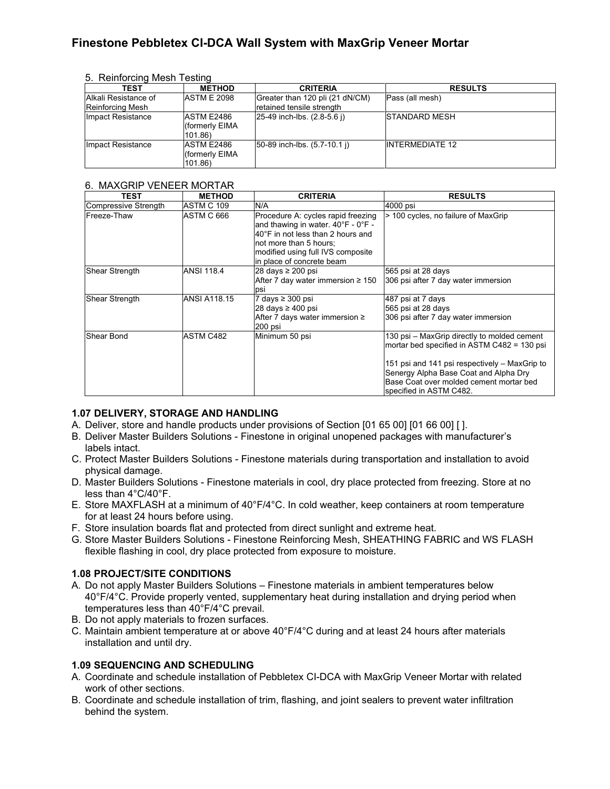5. Reinforcing Mesh Testing

| TEST                                     | <b>METHOD</b>                                 | <b>CRITERIA</b>                                              | <b>RESULTS</b>         |
|------------------------------------------|-----------------------------------------------|--------------------------------------------------------------|------------------------|
| Alkali Resistance of<br>Reinforcing Mesh | <b>ASTM E 2098</b>                            | Greater than 120 pli (21 dN/CM)<br>retained tensile strength | Pass (all mesh)        |
| Impact Resistance                        | <b>ASTM E2486</b><br>(formerly EIMA<br>101.86 | $ 25-49$ inch-lbs. $(2.8-5.6)$                               | <b>ISTANDARD MESH</b>  |
| Impact Resistance                        | <b>ASTM E2486</b><br>formerly EIMA<br>101.86) | 50-89 inch-lbs. (5.7-10.1 i)                                 | <b>INTERMEDIATE 12</b> |

#### 6. MAXGRIP VENEER MORTAR

| TEST                 | <b>METHOD</b>       | <b>CRITERIA</b>                                                                                                                                                                                           | <b>RESULTS</b>                                                                                                                                                                                                                                             |
|----------------------|---------------------|-----------------------------------------------------------------------------------------------------------------------------------------------------------------------------------------------------------|------------------------------------------------------------------------------------------------------------------------------------------------------------------------------------------------------------------------------------------------------------|
| Compressive Strength | ASTM C 109          | N/A                                                                                                                                                                                                       | 4000 psi                                                                                                                                                                                                                                                   |
| Freeze-Thaw          | ASTM C 666          | Procedure A: cycles rapid freezing<br>and thawing in water. 40°F - 0°F -<br>40°F in not less than 2 hours and<br>not more than 5 hours;<br>modified using full IVS composite<br>in place of concrete beam | > 100 cycles, no failure of MaxGrip                                                                                                                                                                                                                        |
| Shear Strength       | <b>ANSI 118.4</b>   | 28 days ≥ 200 psi<br>After 7 day water immersion $\geq 150$<br>psi                                                                                                                                        | 565 psi at 28 days<br>306 psi after 7 day water immersion                                                                                                                                                                                                  |
| Shear Strength       | <b>ANSI A118.15</b> | 7 days $\geq 300$ psi<br>28 days ≥ 400 psi<br>After 7 days water immersion $\geq$<br>200 psi                                                                                                              | 487 psi at 7 days<br>565 psi at 28 days<br>306 psi after 7 day water immersion                                                                                                                                                                             |
| Shear Bond           | ASTM C482           | Minimum 50 psi                                                                                                                                                                                            | 130 psi – MaxGrip directly to molded cement<br>mortar bed specified in ASTM C482 = 130 psi<br>151 psi and 141 psi respectively - MaxGrip to<br>Senergy Alpha Base Coat and Alpha Dry<br>Base Coat over molded cement mortar bed<br>specified in ASTM C482. |

#### **1.07 DELIVERY, STORAGE AND HANDLING**

- A. Deliver, store and handle products under provisions of Section [01 65 00] [01 66 00] [ ].
- B. Deliver Master Builders Solutions Finestone in original unopened packages with manufacturer's labels intact.
- C. Protect Master Builders Solutions Finestone materials during transportation and installation to avoid physical damage.
- D. Master Builders Solutions Finestone materials in cool, dry place protected from freezing. Store at no less than 4°C/40°F.
- E. Store MAXFLASH at a minimum of 40°F/4°C. In cold weather, keep containers at room temperature for at least 24 hours before using.
- F. Store insulation boards flat and protected from direct sunlight and extreme heat.
- G. Store Master Builders Solutions Finestone Reinforcing Mesh, SHEATHING FABRIC and WS FLASH flexible flashing in cool, dry place protected from exposure to moisture.

#### **1.08 PROJECT/SITE CONDITIONS**

- A. Do not apply Master Builders Solutions Finestone materials in ambient temperatures below 40°F/4°C. Provide properly vented, supplementary heat during installation and drying period when temperatures less than 40°F/4°C prevail.
- B. Do not apply materials to frozen surfaces.
- C. Maintain ambient temperature at or above 40°F/4°C during and at least 24 hours after materials installation and until dry.

#### **1.09 SEQUENCING AND SCHEDULING**

- A. Coordinate and schedule installation of Pebbletex CI-DCA with MaxGrip Veneer Mortar with related work of other sections.
- B. Coordinate and schedule installation of trim, flashing, and joint sealers to prevent water infiltration behind the system.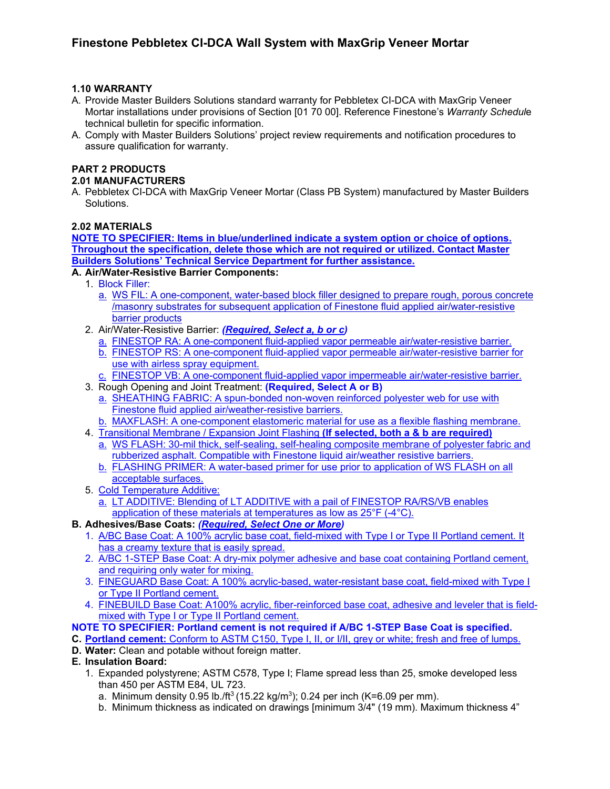#### **1.10 WARRANTY**

- A. Provide Master Builders Solutions standard warranty for Pebbletex CI-DCA with MaxGrip Veneer Mortar installations under provisions of Section [01 70 00]. Reference Finestone's *Warranty Schedul*e technical bulletin for specific information.
- A. Comply with Master Builders Solutions' project review requirements and notification procedures to assure qualification for warranty.

## **PART 2 PRODUCTS**

#### **2.01 MANUFACTURERS**

A. Pebbletex CI-DCA with MaxGrip Veneer Mortar (Class PB System) manufactured by Master Builders Solutions.

#### **2.02 MATERIALS**

**NOTE TO SPECIFIER: Items in blue/underlined indicate a system option or choice of options. Throughout the specification, delete those which are not required or utilized. Contact Master Builders Solutions' Technical Service Department for further assistance.**

#### **A. Air/Water-Resistive Barrier Components:**

- 1. Block Filler:
	- a. WS FIL: A one-component, water-based block filler designed to prepare rough, porous concrete /masonry substrates for subsequent application of Finestone fluid applied air/water-resistive barrier products
- 2. Air/Water-Resistive Barrier: *(Required, Select a, b or c)*
	- a. [FINESTOP](http://www.senergy.basf.com/en/products/Air_Water_ResistiveBarriersDrainage/Pages/Senershield-R.aspx) RA: A one-component fluid-applied vapor permeable air/water-resistive barrier.
	- b. [FINESTOP](http://www.senergy.basf.com/en/products/Air_Water_ResistiveBarriersDrainage/Pages/Senershield-R.aspx) RS: A one-component fluid-applied vapor permeable air/water-resistive barrier for use with airless spray equipment.
	- c. [FINESTOP](http://www.senergy.basf.com/en/products/Air_Water_ResistiveBarriersDrainage/Pages/Senershield-R.aspx) VB: A one-component fluid-applied vapor impermeable air/water-resistive barrier.
- 3. Rough Opening and Joint Treatment: **(Required, Select A or B)**
	- a. SHEATHING FABRIC: A spun-bonded non-woven reinforced polyester web for use with Finestone fluid applied air/weather-resistive barriers.
	- b. MAXFLASH: A one-component elastomeric material for use as a flexible flashing membrane.
- 4. Transitional Membrane / Expansion Joint Flashing **(If selected, both a & b are required)**
	- a. WS FLASH: 30-mil thick, self-sealing, self-healing composite membrane of polyester fabric and rubberized asphalt. Compatible with Finestone liquid air/weather resistive barriers.
	- b. FLASHING PRIMER: A water-based primer for use prior to application of WS FLASH on all acceptable surfaces.
- 5. Cold Temperature Additive:
	- a. LT ADDITIVE: Blending of LT ADDITIVE with a pail of [FINESTOP](http://www.senergy.basf.com/en/products/Air_Water_ResistiveBarriersDrainage/Pages/Senershield-R.aspx) RA/RS/VB enables application of these materials at temperatures as low as 25°F (-4°C).

#### **B. Adhesives/Base Coats:** *(Required, Select One or More)*

- 1. A/BC Base Coat: A 100% acrylic base coat, field-mixed with Type I or Type II Portland cement. It has a creamy texture that is easily spread.
- 2. A/BC 1-STEP Base Coat: A dry-mix polymer adhesive and base coat containing Portland cement, and requiring only water for mixing.
- 3. FINEGUARD Base Coat: A 100% acrylic-based, water-resistant base coat, field-mixed with Type I or Type II Portland cement.
- 4. FINEBUILD Base Coat: A100% acrylic, fiber-reinforced base coat, adhesive and leveler that is fieldmixed with Type I or Type II Portland cement.

#### **NOTE TO SPECIFIER: Portland cement is not required if A/BC 1-STEP Base Coat is specified.**

- **C. Portland cement:** Conform to ASTM C150, Type I, II, or I/II, grey or white; fresh and free of lumps. **D. Water:** Clean and potable without foreign matter.
- **E. Insulation Board:** 
	- 1. Expanded polystyrene; ASTM C578, Type I; Flame spread less than 25, smoke developed less than 450 per ASTM E84, UL 723.
		- a. Minimum density 0.95 lb./ft<sup>3</sup> (15.22 kg/m<sup>3</sup>); 0.24 per inch (K=6.09 per mm).
		- b. Minimum thickness as indicated on drawings [minimum 3/4" (19 mm). Maximum thickness 4"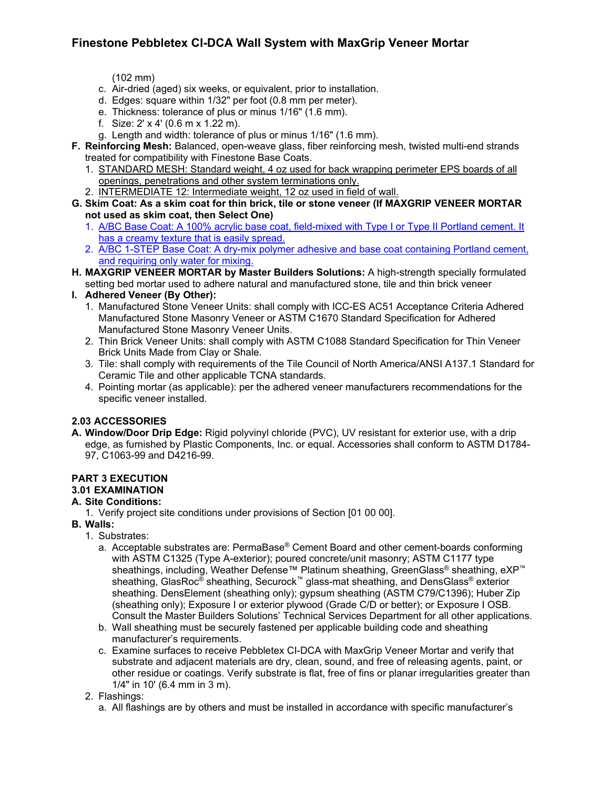(102 mm)

- c. Air-dried (aged) six weeks, or equivalent, prior to installation.
- d. Edges: square within 1/32" per foot (0.8 mm per meter).
- e. Thickness: tolerance of plus or minus 1/16" (1.6 mm).
- f. Size: 2' x 4' (0.6 m x 1.22 m).
- g. Length and width: tolerance of plus or minus 1/16" (1.6 mm).
- **F. Reinforcing Mesh:** Balanced, open-weave glass, fiber reinforcing mesh, twisted multi-end strands treated for compatibility with Finestone Base Coats.
	- 1. STANDARD MESH: Standard weight, 4 oz used for back wrapping perimeter EPS boards of all openings, penetrations and other system terminations only.
	- 2. INTERMEDIATE 12: Intermediate weight, 12 oz used in field of wall.
- **G. Skim Coat: As a skim coat for thin brick, tile or stone veneer (If MAXGRIP VENEER MORTAR not used as skim coat, then Select One)**
	- 1. A/BC Base Coat: A 100% acrylic base coat, field-mixed with Type I or Type II Portland cement. It has a creamy texture that is easily spread.
	- 2. A/BC 1-STEP Base Coat: A dry-mix polymer adhesive and base coat containing Portland cement, and requiring only water for mixing.
- **H. MAXGRIP VENEER MORTAR by Master Builders Solutions:** A high-strength specially formulated setting bed mortar used to adhere natural and manufactured stone, tile and thin brick veneer
- **I. Adhered Veneer (By Other):**
	- 1. Manufactured Stone Veneer Units: shall comply with ICC-ES AC51 Acceptance Criteria Adhered Manufactured Stone Masonry Veneer or ASTM C1670 Standard Specification for Adhered Manufactured Stone Masonry Veneer Units.
	- 2. Thin Brick Veneer Units: shall comply with ASTM C1088 Standard Specification for Thin Veneer Brick Units Made from Clay or Shale.
	- 3. Tile: shall comply with requirements of the Tile Council of North America/ANSI A137.1 Standard for Ceramic Tile and other applicable TCNA standards.
	- 4. Pointing mortar (as applicable): per the adhered veneer manufacturers recommendations for the specific veneer installed.

## **2.03 ACCESSORIES**

**A. Window/Door Drip Edge:** Rigid polyvinyl chloride (PVC), UV resistant for exterior use, with a drip edge, as furnished by Plastic Components, Inc. or equal. Accessories shall conform to ASTM D1784- 97, C1063-99 and D4216-99.

## **PART 3 EXECUTION**

#### **3.01 EXAMINATION**

#### **A. Site Conditions:**

- 1. Verify project site conditions under provisions of Section [01 00 00].
- **B. Walls:**
	- 1. Substrates:
		- a. Acceptable substrates are: PermaBase® Cement Board and other cement-boards conforming with ASTM C1325 (Type A-exterior); poured concrete/unit masonry; ASTM C1177 type sheathings, including, Weather Defense™ Platinum sheathing, GreenGlass® sheathing, eXP<sup>™</sup> sheathing, GlasRoc<sup>®</sup> sheathing, Securock™ glass-mat sheathing, and DensGlass<sup>®</sup> exterior sheathing. DensElement (sheathing only); gypsum sheathing (ASTM C79/C1396); Huber Zip (sheathing only); Exposure I or exterior plywood (Grade C/D or better); or Exposure I OSB. Consult the Master Builders Solutions' Technical Services Department for all other applications.
		- b. Wall sheathing must be securely fastened per applicable building code and sheathing manufacturer's requirements.
		- c. Examine surfaces to receive Pebbletex CI-DCA with MaxGrip Veneer Mortar and verify that substrate and adjacent materials are dry, clean, sound, and free of releasing agents, paint, or other residue or coatings. Verify substrate is flat, free of fins or planar irregularities greater than 1/4" in 10' (6.4 mm in 3 m).
	- 2. Flashings:
		- a. All flashings are by others and must be installed in accordance with specific manufacturer's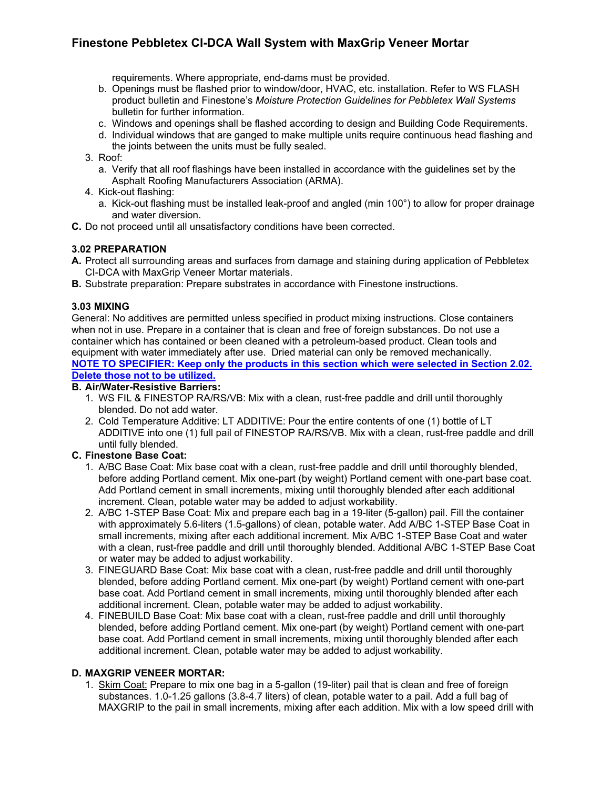requirements. Where appropriate, end-dams must be provided.

- b. Openings must be flashed prior to window/door, HVAC, etc. installation. Refer to WS FLASH product bulletin and Finestone's *Moisture Protection Guidelines for Pebbletex Wall Systems* bulletin for further information.
- c. Windows and openings shall be flashed according to design and Building Code Requirements.
- d. Individual windows that are ganged to make multiple units require continuous head flashing and the joints between the units must be fully sealed.
- 3. Roof:
	- a. Verify that all roof flashings have been installed in accordance with the guidelines set by the Asphalt Roofing Manufacturers Association (ARMA).
- 4. Kick-out flashing:
	- a. Kick-out flashing must be installed leak-proof and angled (min 100°) to allow for proper drainage and water diversion.
- **C.** Do not proceed until all unsatisfactory conditions have been corrected.

#### **3.02 PREPARATION**

- **A.** Protect all surrounding areas and surfaces from damage and staining during application of Pebbletex CI-DCA with MaxGrip Veneer Mortar materials.
- **B.** Substrate preparation: Prepare substrates in accordance with Finestone instructions.

#### **3.03 MIXING**

General: No additives are permitted unless specified in product mixing instructions. Close containers when not in use. Prepare in a container that is clean and free of foreign substances. Do not use a container which has contained or been cleaned with a petroleum-based product. Clean tools and equipment with water immediately after use. Dried material can only be removed mechanically. **NOTE TO SPECIFIER: Keep only the products in this section which were selected in Section 2.02. Delete those not to be utilized.**

#### **B. Air/Water-Resistive Barriers:**

- 1. WS FIL & FINESTOP RA/RS/VB: Mix with a clean, rust-free paddle and drill until thoroughly blended. Do not add water.
- 2. Cold Temperature Additive: LT ADDITIVE: Pour the entire contents of one (1) bottle of LT ADDITIVE into one (1) full pail of FINESTOP RA/RS/VB. Mix with a clean, rust-free paddle and drill until fully blended.

#### **C. Finestone Base Coat:**

- 1. A/BC Base Coat: Mix base coat with a clean, rust-free paddle and drill until thoroughly blended, before adding Portland cement. Mix one-part (by weight) Portland cement with one-part base coat. Add Portland cement in small increments, mixing until thoroughly blended after each additional increment. Clean, potable water may be added to adjust workability.
- 2. A/BC 1-STEP Base Coat: Mix and prepare each bag in a 19-liter (5-gallon) pail. Fill the container with approximately 5.6-liters (1.5-gallons) of clean, potable water. Add A/BC 1-STEP Base Coat in small increments, mixing after each additional increment. Mix A/BC 1-STEP Base Coat and water with a clean, rust-free paddle and drill until thoroughly blended. Additional A/BC 1-STEP Base Coat or water may be added to adjust workability.
- 3. FINEGUARD Base Coat: Mix base coat with a clean, rust-free paddle and drill until thoroughly blended, before adding Portland cement. Mix one-part (by weight) Portland cement with one-part base coat. Add Portland cement in small increments, mixing until thoroughly blended after each additional increment. Clean, potable water may be added to adjust workability.
- 4. FINEBUILD Base Coat: Mix base coat with a clean, rust-free paddle and drill until thoroughly blended, before adding Portland cement. Mix one-part (by weight) Portland cement with one-part base coat. Add Portland cement in small increments, mixing until thoroughly blended after each additional increment. Clean, potable water may be added to adjust workability.

#### **D. MAXGRIP VENEER MORTAR:**

1. Skim Coat: Prepare to mix one bag in a 5-gallon (19-liter) pail that is clean and free of foreign substances. 1.0-1.25 gallons (3.8-4.7 liters) of clean, potable water to a pail. Add a full bag of MAXGRIP to the pail in small increments, mixing after each addition. Mix with a low speed drill with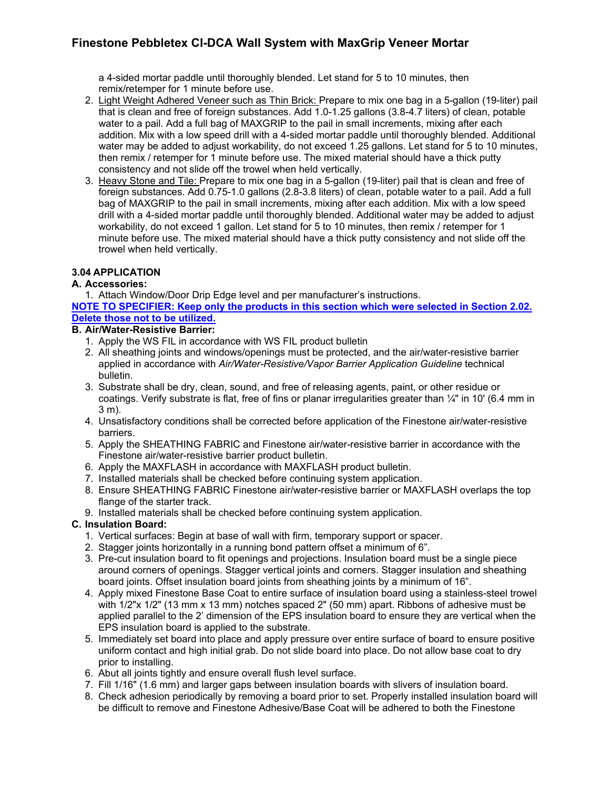a 4-sided mortar paddle until thoroughly blended. Let stand for 5 to 10 minutes, then remix/retemper for 1 minute before use.

- 2. Light Weight Adhered Veneer such as Thin Brick: Prepare to mix one bag in a 5-gallon (19-liter) pail that is clean and free of foreign substances. Add 1.0-1.25 gallons (3.8-4.7 liters) of clean, potable water to a pail. Add a full bag of MAXGRIP to the pail in small increments, mixing after each addition. Mix with a low speed drill with a 4-sided mortar paddle until thoroughly blended. Additional water may be added to adjust workability, do not exceed 1.25 gallons. Let stand for 5 to 10 minutes, then remix / retemper for 1 minute before use. The mixed material should have a thick putty consistency and not slide off the trowel when held vertically.
- 3. Heavy Stone and Tile: Prepare to mix one bag in a 5-gallon (19-liter) pail that is clean and free of foreign substances. Add 0.75-1.0 gallons (2.8-3.8 liters) of clean, potable water to a pail. Add a full bag of MAXGRIP to the pail in small increments, mixing after each addition. Mix with a low speed drill with a 4-sided mortar paddle until thoroughly blended. Additional water may be added to adjust workability, do not exceed 1 gallon. Let stand for 5 to 10 minutes, then remix / retemper for 1 minute before use. The mixed material should have a thick putty consistency and not slide off the trowel when held vertically.

#### **3.04 APPLICATION**

#### **A. Accessories:**

1. Attach Window/Door Drip Edge level and per manufacturer's instructions.

**NOTE TO SPECIFIER: Keep only the products in this section which were selected in Section 2.02. Delete those not to be utilized.**

#### **B. Air/Water-Resistive Barrier:**

- 1. Apply the WS FIL in accordance with WS FIL product bulletin
- 2. All sheathing joints and windows/openings must be protected, and the air/water-resistive barrier applied in accordance with *Air/Water-Resistive/Vapor Barrier Application Guideline* technical bulletin.
- 3. Substrate shall be dry, clean, sound, and free of releasing agents, paint, or other residue or coatings. Verify substrate is flat, free of fins or planar irregularities greater than ¼" in 10' (6.4 mm in 3 m).
- 4. Unsatisfactory conditions shall be corrected before application of the Finestone air/water-resistive barriers.
- 5. Apply the SHEATHING FABRIC and Finestone air/water-resistive barrier in accordance with the Finestone air/water-resistive barrier product bulletin.
- 6. Apply the MAXFLASH in accordance with MAXFLASH product bulletin.
- 7. Installed materials shall be checked before continuing system application.
- 8. Ensure SHEATHING FABRIC Finestone air/water-resistive barrier or MAXFLASH overlaps the top flange of the starter track.
- 9. Installed materials shall be checked before continuing system application.

#### **C. Insulation Board:**

- 1. Vertical surfaces: Begin at base of wall with firm, temporary support or spacer.
- 2. Stagger joints horizontally in a running bond pattern offset a minimum of 6".
- 3. Pre-cut insulation board to fit openings and projections. Insulation board must be a single piece around corners of openings. Stagger vertical joints and corners. Stagger insulation and sheathing board joints. Offset insulation board joints from sheathing joints by a minimum of 16".
- 4. Apply mixed Finestone Base Coat to entire surface of insulation board using a stainless-steel trowel with 1/2"x 1/2" (13 mm x 13 mm) notches spaced 2" (50 mm) apart. Ribbons of adhesive must be applied parallel to the 2' dimension of the EPS insulation board to ensure they are vertical when the EPS insulation board is applied to the substrate.
- 5. Immediately set board into place and apply pressure over entire surface of board to ensure positive uniform contact and high initial grab. Do not slide board into place. Do not allow base coat to dry prior to installing.
- 6. Abut all joints tightly and ensure overall flush level surface.
- 7. Fill 1/16" (1.6 mm) and larger gaps between insulation boards with slivers of insulation board.
- 8. Check adhesion periodically by removing a board prior to set. Properly installed insulation board will be difficult to remove and Finestone Adhesive/Base Coat will be adhered to both the Finestone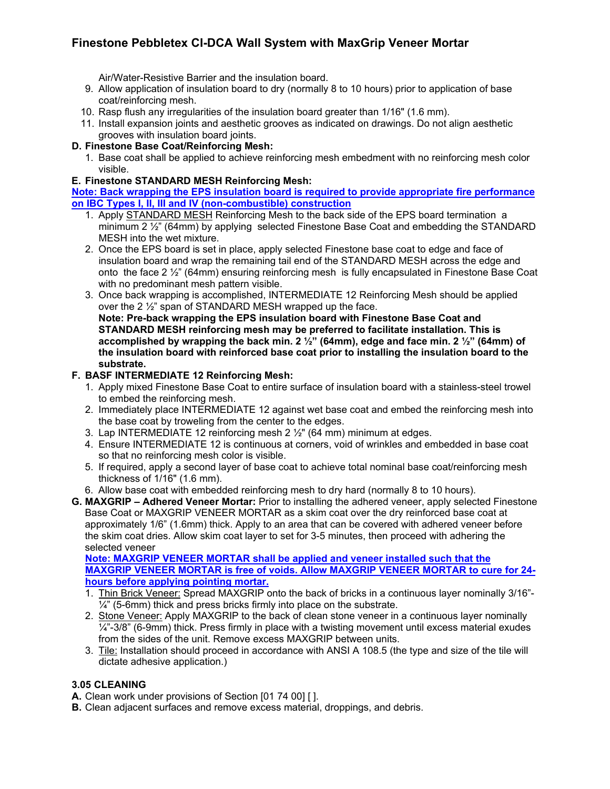Air/Water-Resistive Barrier and the insulation board.

- 9. Allow application of insulation board to dry (normally 8 to 10 hours) prior to application of base coat/reinforcing mesh.
- 10. Rasp flush any irregularities of the insulation board greater than 1/16" (1.6 mm).
- 11. Install expansion joints and aesthetic grooves as indicated on drawings. Do not align aesthetic grooves with insulation board joints.

#### **D. Finestone Base Coat/Reinforcing Mesh:**

1. Base coat shall be applied to achieve reinforcing mesh embedment with no reinforcing mesh color visible.

#### **E. Finestone STANDARD MESH Reinforcing Mesh:**

**Note: Back wrapping the EPS insulation board is required to provide appropriate fire performance on IBC Types I, II, III and IV (non-combustible) construction**

- 1. Apply STANDARD MESH Reinforcing Mesh to the back side of the EPS board termination a minimum 2  $\frac{1}{2}$ " (64mm) by applying selected Finestone Base Coat and embedding the STANDARD MESH into the wet mixture.
- 2. Once the EPS board is set in place, apply selected Finestone base coat to edge and face of insulation board and wrap the remaining tail end of the STANDARD MESH across the edge and onto the face 2 ½" (64mm) ensuring reinforcing mesh is fully encapsulated in Finestone Base Coat with no predominant mesh pattern visible.
- 3. Once back wrapping is accomplished, INTERMEDIATE 12 Reinforcing Mesh should be applied over the 2 ½" span of STANDARD MESH wrapped up the face. **Note: Pre-back wrapping the EPS insulation board with Finestone Base Coat and**

**STANDARD MESH reinforcing mesh may be preferred to facilitate installation. This is accomplished by wrapping the back min. 2 ½" (64mm), edge and face min. 2 ½" (64mm) of the insulation board with reinforced base coat prior to installing the insulation board to the substrate.** 

#### **F. BASF INTERMEDIATE 12 Reinforcing Mesh:**

- 1. Apply mixed Finestone Base Coat to entire surface of insulation board with a stainless-steel trowel to embed the reinforcing mesh.
- 2. Immediately place INTERMEDIATE 12 against wet base coat and embed the reinforcing mesh into the base coat by troweling from the center to the edges.
- 3. Lap INTERMEDIATE 12 reinforcing mesh 2 ½" (64 mm) minimum at edges.
- 4. Ensure INTERMEDIATE 12 is continuous at corners, void of wrinkles and embedded in base coat so that no reinforcing mesh color is visible.
- 5. If required, apply a second layer of base coat to achieve total nominal base coat/reinforcing mesh thickness of 1/16" (1.6 mm).
- 6. Allow base coat with embedded reinforcing mesh to dry hard (normally 8 to 10 hours).
- **G. MAXGRIP – Adhered Veneer Mortar:** Prior to installing the adhered veneer, apply selected Finestone Base Coat or MAXGRIP VENEER MORTAR as a skim coat over the dry reinforced base coat at approximately 1/6" (1.6mm) thick. Apply to an area that can be covered with adhered veneer before the skim coat dries. Allow skim coat layer to set for 3-5 minutes, then proceed with adhering the selected veneer

**Note: MAXGRIP VENEER MORTAR shall be applied and veneer installed such that the MAXGRIP VENEER MORTAR is free of voids. Allow MAXGRIP VENEER MORTAR to cure for 24 hours before applying pointing mortar.**

- 1. Thin Brick Veneer: Spread MAXGRIP onto the back of bricks in a continuous layer nominally 3/16"-  $\frac{1}{4}$ " (5-6mm) thick and press bricks firmly into place on the substrate.
- 2. Stone Veneer: Apply MAXGRIP to the back of clean stone veneer in a continuous layer nominally  $\frac{1}{4}$ "-3/8" (6-9mm) thick. Press firmly in place with a twisting movement until excess material exudes from the sides of the unit. Remove excess MAXGRIP between units.
- 3. Tile: Installation should proceed in accordance with ANSI A 108.5 (the type and size of the tile will dictate adhesive application.)

#### **3.05 CLEANING**

**A.** Clean work under provisions of Section [01 74 00] [ ].

**B.** Clean adjacent surfaces and remove excess material, droppings, and debris.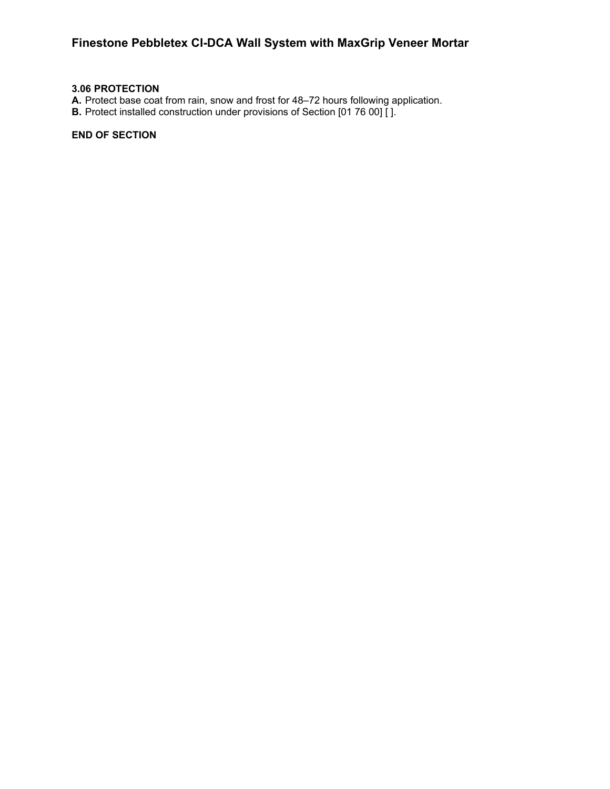#### **3.06 PROTECTION**

- **A.** Protect base coat from rain, snow and frost for 48–72 hours following application.
- **B.** Protect installed construction under provisions of Section [01 76 00] [].

#### **END OF SECTION**